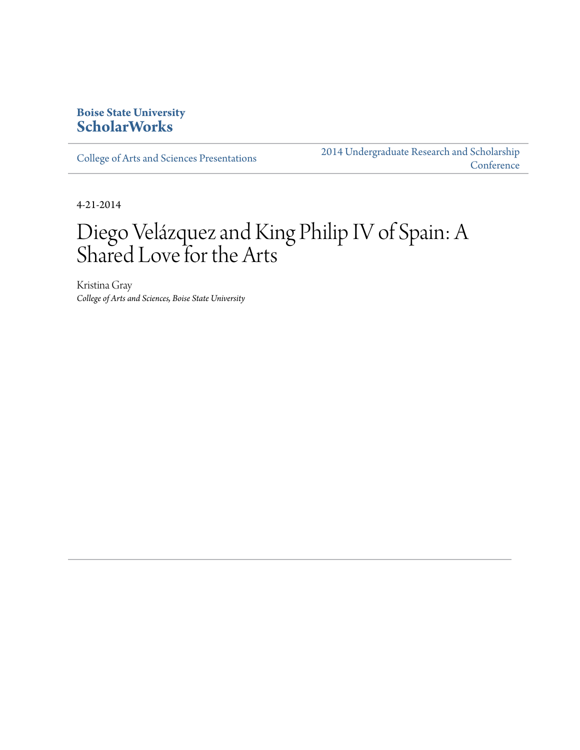## **Boise State University [ScholarWorks](http://scholarworks.boisestate.edu)**

[College of Arts and Sciences Presentations](http://scholarworks.boisestate.edu/as_14)

[2014 Undergraduate Research and Scholarship](http://scholarworks.boisestate.edu/2014_under_conf) **[Conference](http://scholarworks.boisestate.edu/2014_under_conf)** 

4-21-2014

## Diego Velázquez and King Philip IV of Spain: A Shared Love for the Arts

Kristina Gray *College of Arts and Sciences, Boise State University*